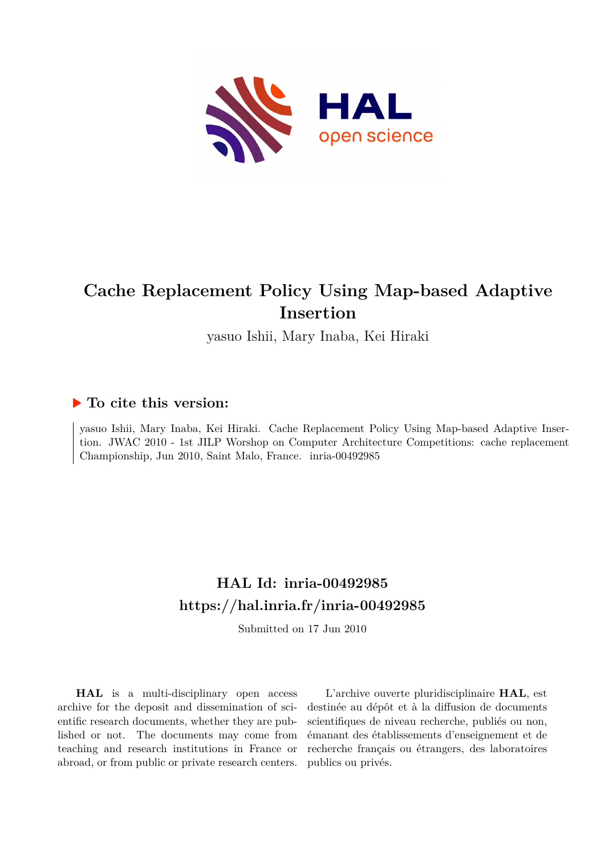

# **Cache Replacement Policy Using Map-based Adaptive Insertion**

yasuo Ishii, Mary Inaba, Kei Hiraki

# **To cite this version:**

yasuo Ishii, Mary Inaba, Kei Hiraki. Cache Replacement Policy Using Map-based Adaptive Insertion. JWAC 2010 - 1st JILP Worshop on Computer Architecture Competitions: cache replacement Championship, Jun 2010, Saint Malo, France. inria-00492985

# **HAL Id: inria-00492985 <https://hal.inria.fr/inria-00492985>**

Submitted on 17 Jun 2010

**HAL** is a multi-disciplinary open access archive for the deposit and dissemination of scientific research documents, whether they are published or not. The documents may come from teaching and research institutions in France or abroad, or from public or private research centers.

L'archive ouverte pluridisciplinaire **HAL**, est destinée au dépôt et à la diffusion de documents scientifiques de niveau recherche, publiés ou non, émanant des établissements d'enseignement et de recherche français ou étrangers, des laboratoires publics ou privés.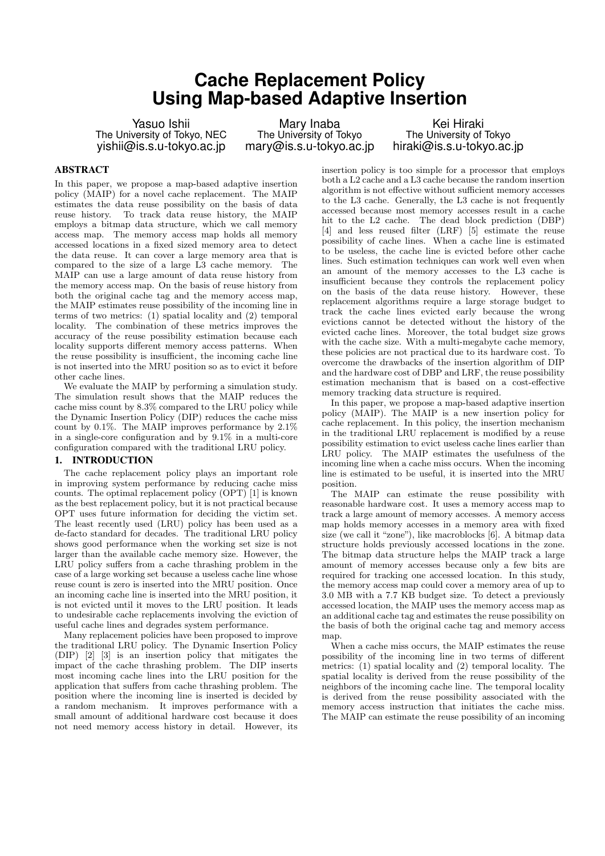# **Cache Replacement Policy Using Map-based Adaptive Insertion**

Yasuo Ishii The University of Tokyo, NEC yishii@is.s.u-tokyo.ac.jp

Mary Inaba The University of Tokyo mary@is.s.u-tokyo.ac.jp

Kei Hiraki The University of Tokyo hiraki@is.s.u-tokyo.ac.jp

### **ABSTRACT**

In this paper, we propose a map-based adaptive insertion policy (MAIP) for a novel cache replacement. The MAIP estimates the data reuse possibility on the basis of data reuse history. To track data reuse history, the MAIP employs a bitmap data structure, which we call memory access map. The memory access map holds all memory accessed locations in a fixed sized memory area to detect the data reuse. It can cover a large memory area that is compared to the size of a large L3 cache memory. The MAIP can use a large amount of data reuse history from the memory access map. On the basis of reuse history from both the original cache tag and the memory access map, the MAIP estimates reuse possibility of the incoming line in terms of two metrics: (1) spatial locality and (2) temporal locality. The combination of these metrics improves the accuracy of the reuse possibility estimation because each locality supports different memory access patterns. When the reuse possibility is insufficient, the incoming cache line is not inserted into the MRU position so as to evict it before other cache lines.

We evaluate the MAIP by performing a simulation study. The simulation result shows that the MAIP reduces the cache miss count by 8.3% compared to the LRU policy while the Dynamic Insertion Policy (DIP) reduces the cache miss count by 0.1%. The MAIP improves performance by 2.1% in a single-core configuration and by 9.1% in a multi-core configuration compared with the traditional LRU policy.

# 1. INTRODUCTION

The cache replacement policy plays an important role in improving system performance by reducing cache miss counts. The optimal replacement policy (OPT) [1] is known as the best replacement policy, but it is not practical because OPT uses future information for deciding the victim set. The least recently used (LRU) policy has been used as a de-facto standard for decades. The traditional LRU policy shows good performance when the working set size is not larger than the available cache memory size. However, the LRU policy suffers from a cache thrashing problem in the case of a large working set because a useless cache line whose reuse count is zero is inserted into the MRU position. Once an incoming cache line is inserted into the MRU position, it is not evicted until it moves to the LRU position. It leads to undesirable cache replacements involving the eviction of useful cache lines and degrades system performance.

Many replacement policies have been proposed to improve the traditional LRU policy. The Dynamic Insertion Policy (DIP) [2] [3] is an insertion policy that mitigates the impact of the cache thrashing problem. The DIP inserts most incoming cache lines into the LRU position for the application that suffers from cache thrashing problem. The position where the incoming line is inserted is decided by a random mechanism. It improves performance with a small amount of additional hardware cost because it does not need memory access history in detail. However, its

insertion policy is too simple for a processor that employs both a L2 cache and a L3 cache because the random insertion algorithm is not effective without sufficient memory accesses to the L3 cache. Generally, the L3 cache is not frequently accessed because most memory accesses result in a cache hit to the L2 cache. The dead block prediction (DBP) [4] and less reused filter (LRF) [5] estimate the reuse possibility of cache lines. When a cache line is estimated to be useless, the cache line is evicted before other cache lines. Such estimation techniques can work well even when an amount of the memory accesses to the L3 cache is insufficient because they controls the replacement policy on the basis of the data reuse history. However, these replacement algorithms require a large storage budget to track the cache lines evicted early because the wrong evictions cannot be detected without the history of the evicted cache lines. Moreover, the total budget size grows with the cache size. With a multi-megabyte cache memory, these policies are not practical due to its hardware cost. To overcome the drawbacks of the insertion algorithm of DIP and the hardware cost of DBP and LRF, the reuse possibility estimation mechanism that is based on a cost-effective memory tracking data structure is required.

In this paper, we propose a map-based adaptive insertion policy (MAIP). The MAIP is a new insertion policy for cache replacement. In this policy, the insertion mechanism in the traditional LRU replacement is modified by a reuse possibility estimation to evict useless cache lines earlier than LRU policy. The MAIP estimates the usefulness of the incoming line when a cache miss occurs. When the incoming line is estimated to be useful, it is inserted into the MRU position.

The MAIP can estimate the reuse possibility with reasonable hardware cost. It uses a memory access map to track a large amount of memory accesses. A memory access map holds memory accesses in a memory area with fixed size (we call it "zone"), like macroblocks [6]. A bitmap data structure holds previously accessed locations in the zone. The bitmap data structure helps the MAIP track a large amount of memory accesses because only a few bits are required for tracking one accessed location. In this study, the memory access map could cover a memory area of up to 3.0 MB with a 7.7 KB budget size. To detect a previously accessed location, the MAIP uses the memory access map as an additional cache tag and estimates the reuse possibility on the basis of both the original cache tag and memory access ma<sub>p</sub>.

When a cache miss occurs, the MAIP estimates the reuse possibility of the incoming line in two terms of different metrics: (1) spatial locality and (2) temporal locality. The spatial locality is derived from the reuse possibility of the neighbors of the incoming cache line. The temporal locality is derived from the reuse possibility associated with the memory access instruction that initiates the cache miss. The MAIP can estimate the reuse possibility of an incoming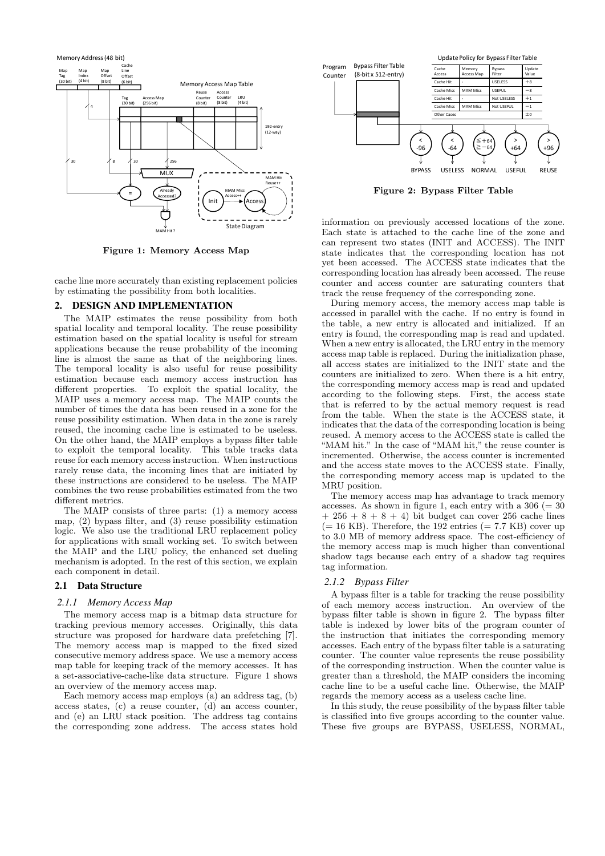

**Figure 1: Memory Access Map**

cache line more accurately than existing replacement policies by estimating the possibility from both localities.

## 2. DESIGN AND IMPLEMENTATION

The MAIP estimates the reuse possibility from both spatial locality and temporal locality. The reuse possibility estimation based on the spatial locality is useful for stream applications because the reuse probability of the incoming line is almost the same as that of the neighboring lines. The temporal locality is also useful for reuse possibility estimation because each memory access instruction has different properties. To exploit the spatial locality, the MAIP uses a memory access map. The MAIP counts the number of times the data has been reused in a zone for the reuse possibility estimation. When data in the zone is rarely reused, the incoming cache line is estimated to be useless. On the other hand, the MAIP employs a bypass filter table to exploit the temporal locality. This table tracks data reuse for each memory access instruction. When instructions rarely reuse data, the incoming lines that are initiated by these instructions are considered to be useless. The MAIP combines the two reuse probabilities estimated from the two different metrics.

The MAIP consists of three parts: (1) a memory access map, (2) bypass filter, and (3) reuse possibility estimation logic. We also use the traditional LRU replacement policy for applications with small working set. To switch between the MAIP and the LRU policy, the enhanced set dueling mechanism is adopted. In the rest of this section, we explain each component in detail.

# 2.1 Data Structure

#### *2.1.1 Memory Access Map*

The memory access map is a bitmap data structure for tracking previous memory accesses. Originally, this data structure was proposed for hardware data prefetching [7]. The memory access map is mapped to the fixed sized consecutive memory address space. We use a memory access map table for keeping track of the memory accesses. It has a set-associative-cache-like data structure. Figure 1 shows an overview of the memory access map.

Each memory access map employs (a) an address tag, (b) access states, (c) a reuse counter, (d) an access counter, and (e) an LRU stack position. The address tag contains the corresponding zone address. The access states hold



**Figure 2: Bypass Filter Table**

information on previously accessed locations of the zone. Each state is attached to the cache line of the zone and can represent two states (INIT and ACCESS). The INIT state indicates that the corresponding location has not yet been accessed. The ACCESS state indicates that the corresponding location has already been accessed. The reuse counter and access counter are saturating counters that track the reuse frequency of the corresponding zone.

During memory access, the memory access map table is accessed in parallel with the cache. If no entry is found in the table, a new entry is allocated and initialized. If an entry is found, the corresponding map is read and updated. When a new entry is allocated, the LRU entry in the memory access map table is replaced. During the initialization phase, all access states are initialized to the INIT state and the counters are initialized to zero. When there is a hit entry, the corresponding memory access map is read and updated according to the following steps. First, the access state that is referred to by the actual memory request is read from the table. When the state is the ACCESS state, it indicates that the data of the corresponding location is being reused. A memory access to the ACCESS state is called the "MAM hit." In the case of "MAM hit," the reuse counter is incremented. Otherwise, the access counter is incremented and the access state moves to the ACCESS state. Finally, the corresponding memory access map is updated to the MRU position.

The memory access map has advantage to track memory accesses. As shown in figure 1, each entry with a  $306 (= 30$  $+ 256 + 8 + 8 + 4$ ) bit budget can cover 256 cache lines  $(= 16 \text{ KB})$ . Therefore, the 192 entries  $(= 7.7 \text{ KB})$  cover up to 3.0 MB of memory address space. The cost-efficiency of the memory access map is much higher than conventional shadow tags because each entry of a shadow tag requires tag information.

#### *2.1.2 Bypass Filter*

A bypass filter is a table for tracking the reuse possibility of each memory access instruction. An overview of the bypass filter table is shown in figure 2. The bypass filter table is indexed by lower bits of the program counter of the instruction that initiates the corresponding memory accesses. Each entry of the bypass filter table is a saturating counter. The counter value represents the reuse possibility of the corresponding instruction. When the counter value is greater than a threshold, the MAIP considers the incoming cache line to be a useful cache line. Otherwise, the MAIP regards the memory access as a useless cache line.

In this study, the reuse possibility of the bypass filter table is classified into five groups according to the counter value. These five groups are BYPASS, USELESS, NORMAL,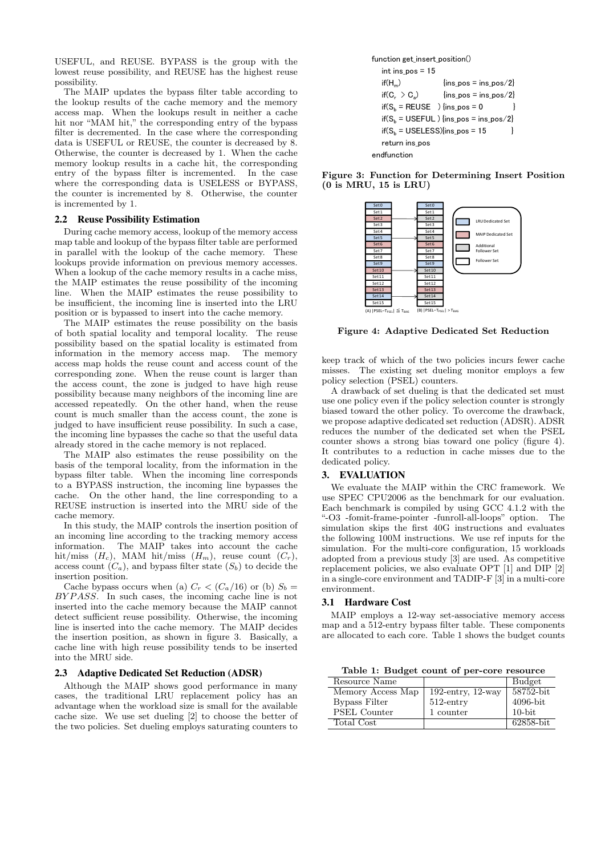USEFUL, and REUSE. BYPASS is the group with the lowest reuse possibility, and REUSE has the highest reuse possibility.

The MAIP updates the bypass filter table according to the lookup results of the cache memory and the memory access map. When the lookups result in neither a cache hit nor "MAM hit," the corresponding entry of the bypass filter is decremented. In the case where the corresponding data is USEFUL or REUSE, the counter is decreased by 8. Otherwise, the counter is decreased by 1. When the cache memory lookup results in a cache hit, the corresponding entry of the bypass filter is incremented. In the case where the corresponding data is USELESS or BYPASS, the counter is incremented by 8. Otherwise, the counter is incremented by 1.

### 2.2 Reuse Possibility Estimation

During cache memory access, lookup of the memory access map table and lookup of the bypass filter table are performed in parallel with the lookup of the cache memory. These lookups provide information on previous memory accesses. When a lookup of the cache memory results in a cache miss, the MAIP estimates the reuse possibility of the incoming line. When the MAIP estimates the reuse possibility to be insufficient, the incoming line is inserted into the LRU position or is bypassed to insert into the cache memory.

The MAIP estimates the reuse possibility on the basis of both spatial locality and temporal locality. The reuse possibility based on the spatial locality is estimated from information in the memory access map. The memory access map holds the reuse count and access count of the corresponding zone. When the reuse count is larger than the access count, the zone is judged to have high reuse possibility because many neighbors of the incoming line are accessed repeatedly. On the other hand, when the reuse count is much smaller than the access count, the zone is judged to have insufficient reuse possibility. In such a case, the incoming line bypasses the cache so that the useful data already stored in the cache memory is not replaced.

The MAIP also estimates the reuse possibility on the basis of the temporal locality, from the information in the bypass filter table. When the incoming line corresponds to a BYPASS instruction, the incoming line bypasses the cache. On the other hand, the line corresponding to a REUSE instruction is inserted into the MRU side of the cache memory.

In this study, the MAIP controls the insertion position of an incoming line according to the tracking memory access information. The MAIP takes into account the cache hit/miss  $(H_c)$ , MAM hit/miss  $(H_m)$ , reuse count  $(C_r)$ , access count  $(C_a)$ , and bypass filter state  $(S_b)$  to decide the insertion position.

Cache bypass occurs when (a)  $C_r < (C_a/16)$  or (b)  $S_b$ *BY P ASS*. In such cases, the incoming cache line is not inserted into the cache memory because the MAIP cannot detect sufficient reuse possibility. Otherwise, the incoming line is inserted into the cache memory. The MAIP decides the insertion position, as shown in figure 3. Basically, a cache line with high reuse possibility tends to be inserted into the MRU side.

#### 2.3 Adaptive Dedicated Set Reduction (ADSR)

Although the MAIP shows good performance in many cases, the traditional LRU replacement policy has an advantage when the workload size is small for the available cache size. We use set dueling [2] to choose the better of the two policies. Set dueling employs saturating counters to



**Figure 3: Function for Determining Insert Position (0 is MRU, 15 is LRU)**



**Figure 4: Adaptive Dedicated Set Reduction**

keep track of which of the two policies incurs fewer cache misses. The existing set dueling monitor employs a few policy selection (PSEL) counters.

A drawback of set dueling is that the dedicated set must use one policy even if the policy selection counter is strongly biased toward the other policy. To overcome the drawback, we propose adaptive dedicated set reduction (ADSR). ADSR reduces the number of the dedicated set when the PSEL counter shows a strong bias toward one policy (figure 4). It contributes to a reduction in cache misses due to the dedicated policy.

#### 3. EVALUATION

We evaluate the MAIP within the CRC framework. We use SPEC CPU2006 as the benchmark for our evaluation. Each benchmark is compiled by using GCC 4.1.2 with the "-O3 -fomit-frame-pointer -funroll-all-loops" option. The simulation skips the first 40G instructions and evaluates the following 100M instructions. We use ref inputs for the simulation. For the multi-core configuration, 15 workloads adopted from a previous study [3] are used. As competitive replacement policies, we also evaluate OPT [1] and DIP [2] in a single-core environment and TADIP-F [3] in a multi-core environment.

#### 3.1 Hardware Cost

MAIP employs a 12-way set-associative memory access map and a 512-entry bypass filter table. These components are allocated to each core. Table 1 shows the budget counts

**Table 1: Budget count of per-core resource**

| Resource Name        |                      | Budget      |
|----------------------|----------------------|-------------|
| Memory Access Map    | 192-entry, $12$ -way | 58752-bit   |
| <b>Bypass Filter</b> | $512$ -entry         | $4096$ -bit |
| <b>PSEL Counter</b>  | 1 counter            | $10$ -bit   |
| Total Cost           |                      | 62858-bit   |